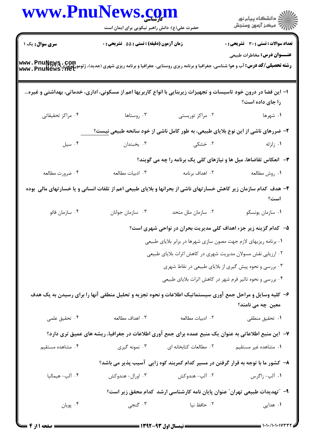|                   | www.PnuNews.com<br>حضرت علی(ع): دانش راهبر نیکویی برای ایمان است                                                  |                        | الارد دانشگاه پيام نور<br>۱۳۱۸ - مرکز آزمون وسنجش                                                                                                                             |  |
|-------------------|-------------------------------------------------------------------------------------------------------------------|------------------------|-------------------------------------------------------------------------------------------------------------------------------------------------------------------------------|--|
|                   |                                                                                                                   |                        |                                                                                                                                                                               |  |
| سری سوال: یک ۱    | زمان آزمون (دقیقه) : تستی : 55 آتشریحی : 0                                                                        |                        | <b>تعداد سوالات : تستی : 30 - تشریحی : 0</b><br><b>عنـــوان درس:</b> مخاطرات طبیعی                                                                                            |  |
|                   |                                                                                                                   |                        | <b>رشته تحصیلی/کد درس:</b> آب و هوا شناسی، جغرافیا و برنامه ریزی روستایی، جغرافیا و برنامه ریزی شهری (جدید)، ژئومورفولوژی <b>www . PnuNews . Aet</b><br>  www . PnuNews . Net |  |
|                   | ا– این فضا در درون خود تاسیسات و تجهیزات زیربنایی با انواع کاربریها اعم از مسکونی، اداری، خدماتی، بهداشتی و غیره… |                        | را جای داده است؟                                                                                                                                                              |  |
| ۰۴ مراکز تحقیقاتی | ۰۳ روستاها                                                                                                        | ۰۲ مراکز توریستی       | ۰۱ شهرها                                                                                                                                                                      |  |
|                   | ۲- ضررهای ناشی از این نوع بلایای طبیعی، به طور کامل ناشی از خود سانحه طبیعی نیست؟                                 |                        |                                                                                                                                                                               |  |
| ۰۴ سیل            | ۰۳ یخبندان                                                                                                        | ۰۲ خشکی                | ۰۱ زلزله                                                                                                                                                                      |  |
|                   |                                                                                                                   |                        | ۳- انعکاس تقاضاها، میل ها و نیازهای کلی یک برنامه را چه می گویند؟                                                                                                             |  |
| ۰۴ ضرورت مطالعه   | ۰۳ ادبيات مطالعه                                                                                                  | ۰۲ اهداف برنامه        | ٠١. روش مطالعه                                                                                                                                                                |  |
|                   | ۴– هدف کدام سازمان زیر کاهش خسارتهای ناشی از بحرانها و بلایای طبیعی اعم از تلفات انسانی و یا خسارتهای مالی بوده   |                        | است؟                                                                                                                                                                          |  |
| ۰۴ سازمان فائو    | ۰۳ سازمان جوانان                                                                                                  | ۰۲ سازمان ملل متحد     | ٠١ سازمان يونسكو                                                                                                                                                              |  |
|                   |                                                                                                                   |                        | ۵–۔ کدام گزینه زیر جزء اهداف کلی مدیریت بحران در نواحی شهری است؟                                                                                                              |  |
|                   |                                                                                                                   |                        | ۰۱ برنامه ریزیهای لازم جهت مصون سازی شهرها در برابر بلایای طبیعی                                                                                                              |  |
|                   |                                                                                                                   |                        | ۲. ارزیابی نقش مسولان مدیریت شهری در کاهش اثرات بلایای طبیعی                                                                                                                  |  |
|                   |                                                                                                                   |                        | ۰۳ بررسی و نحوه پیش گیری از بلایای طبیعی در نقاط شهری                                                                                                                         |  |
|                   |                                                                                                                   |                        | ۰۴ بررسی و نحوه تاثیر فرم شهر در کاهش اثرات بلایای طبیعی                                                                                                                      |  |
|                   | ۶– کلیه وسایل و مراحل جمع آوری سیستماتیک اطلاعات و نحوه تجزیه و تحلیل منطقی آنها را برای رسیدن به یک هدف          |                        | معین چه می نامند؟                                                                                                                                                             |  |
| ۰۴ تحقیق علمی     | ۰۳ اهداف مطالعه                                                                                                   | ٠٢ ادبيات مطالعه       | ۰۱ تحقیق منطقی                                                                                                                                                                |  |
|                   | ۷–  این منبع اطلاعاتی به عنوان یک منبع عمده برای جمع آوری اطلاعات در جغرافیا، ریشه های عمیق تری دارد؟             |                        |                                                                                                                                                                               |  |
| ۰۴ مشاهده مستقیم  | ۰۳ نمونه گیری                                                                                                     | ٠٢ مطالعات كتابخانه اى | ۰۱ مشاهده غیر مستقیم                                                                                                                                                          |  |
|                   |                                                                                                                   |                        | ۸– کشور ما با توجه به قرار گرفتن در مسیر کدام کمربند کوه زایی آسیب پذیر می باشد؟                                                                                              |  |
| ۰۴ آلپ- هیمالیا   | ۰۳ اورال- هندوکش                                                                                                  | ۰۲ آلپ- هندوکش         | ۰۱ آلپ- زاگرس                                                                                                                                                                 |  |
|                   |                                                                                                                   |                        | ۹– ″تهدیدات طبیعی تهران″ عنوان پایان نامه کارشناسی ارشد کدام محقق زیر است؟                                                                                                    |  |
| ۰۴ پويان          | ۰۳ گنجي                                                                                                           | ٢. حافظ نيا            | ۰۱ هدایی                                                                                                                                                                      |  |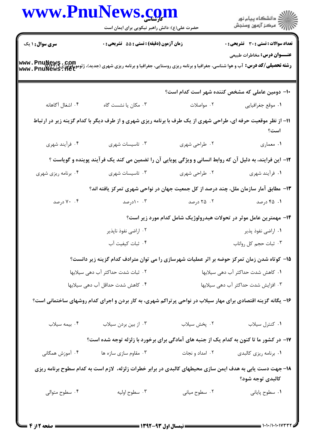|                                   |                                                                                                                                                                              | www.PnuNews.com                     | الان دانشگاه پيام نور<br>الاستخان آزمون وسنجش   |
|-----------------------------------|------------------------------------------------------------------------------------------------------------------------------------------------------------------------------|-------------------------------------|-------------------------------------------------|
|                                   | حضرت علی(ع): دانش راهبر نیکویی برای ایمان است                                                                                                                                |                                     |                                                 |
| <b>سری سوال :</b> ۱ یک            | زمان آزمون (دقیقه) : تستی : 55 آتشریحی : 0                                                                                                                                   |                                     | <b>تعداد سوالات : تستی : 30 ٪ تشریحی : 0</b>    |
|                                   | <b>رشته تحصیلی/کد درس:</b> آب و هوا شناسی، جغرافیا و برنامه ریزی روستایی، جغرافیا و برنامه ریزی شهری (جدید)، ژئومورفولوژی <b>www . PnuNews . det</b><br>www . PnuNews . 11et |                                     | <b>عنـــوان درس:</b> مخاطرات طبیعی              |
|                                   |                                                                                                                                                                              |                                     | +ا– دومین عاملی که مشخص کننده شهر است کدام است؟ |
| ۰۴ اشغال آگاهانه                  | ۰۳ مکان یا نشست گاه                                                                                                                                                          | ۰۲ مواصلات                          | ٠١. موقع جغرافيايي                              |
|                                   | 11- از نظر موقعیت حرفه ای، طراحی شهری از یک طرف با برنامه ریزی شهری و از طرف دیگر با کدام گزینه زیر در ارتباط                                                                |                                     | است؟                                            |
| ۰۴ فرأيند شهري                    | ۰۳ تاسیسات شهری                                                                                                                                                              | ۰۲ طراحی شهری                       | ١. معماري                                       |
|                                   | ۱۲– این فرایند، به دلیل آن که روابط انسانی و ویژگی پویایی آن را تضمین می کند یک فرآیند پوینده و گویاست ؟                                                                     |                                     |                                                 |
| ۰۴ برنامه ریزی شهری               | ۰۳ تاسیسات شهری                                                                                                                                                              | ۰۲ طراحی شهری                       | ۱. فرأيند شهري                                  |
|                                   | ۱۳- مطابق آمار سازمان ملل، چند درصد از کل جمعیت جهان در نواحی شهری تمرکز یافته اند؟                                                                                          |                                     |                                                 |
| ۰۴ درصد                           | ۰.۳ ادرصد                                                                                                                                                                    | ۰۲ درصد                             | ۰۱ ۲۵ درصد                                      |
|                                   | ۱۴- مهمترین عامل موثر در تحولات هیدرولوژیک شامل کدام مورد زیر است؟                                                                                                           |                                     |                                                 |
|                                   | ۰۲ اراضي نفوذ ناپذير                                                                                                                                                         |                                     | ۰۱ اراضی نفوذ پذیر                              |
|                                   | ۰۴ ثبات كيفيت آب                                                                                                                                                             |                                     | ٠٣ ثبات حجم كل رواناب                           |
|                                   | ۱۵– کوتاه شدن زمان تمرکز حوضه بر اثر عملیات شهرسازی را می توان مترادف کدام گزینه زیر دانست؟                                                                                  |                                     |                                                 |
| ۰۲ ثبات شدت حداکثر آب دهی سیلابها |                                                                                                                                                                              | ۰۱ کاهش شدت حداکثر آب دهی سیلابها   |                                                 |
| ۰۴ کاهش شدت حداقل آب دهی سیلابها  |                                                                                                                                                                              | ٠٣ افزايش شدت حداكثر آب دهي سيلابها |                                                 |
|                                   | ۱۶- یگانه گزینه اقتصادی برای مهار سیلاب در نواحی پرتراکم شهری، به کار بردن و اجرای کدام روشهای ساختمانی است؟                                                                 |                                     |                                                 |
| ۰۴ بیمه سیلاب                     | ۰۳ از بین بردن سیلاب                                                                                                                                                         | ٠٢ پخش سيلاب                        | ٠١ كنترل سيلاب                                  |
|                                   | ۱۷– در کشور ما تا کنون به کدام یک از جنبه های آمادگی برای برخورد با زلزله توجه شده است؟                                                                                      |                                     |                                                 |
| ۰۴ آموزش همگانی                   | ۰۳ مقاوم سازی سازه ها                                                                                                                                                        | ۰۲ امداد و نجات                     | ۰۱ برنامه ریزی کالبدی                           |
|                                   | ۱۸– جهت دست یابی به هدف ایمن سازی محیطهای کالبدی در برابر خطرات زلزله، لازم است به کدام سطوح برنامه ریزی                                                                     |                                     | كالبدى توجه شود؟                                |
| ۰۴ سطوح متوالی                    | ۰۳ سطوح اوليه                                                                                                                                                                | ۰۲ سطوح میانی                       | ٠١ سطوح پاياني                                  |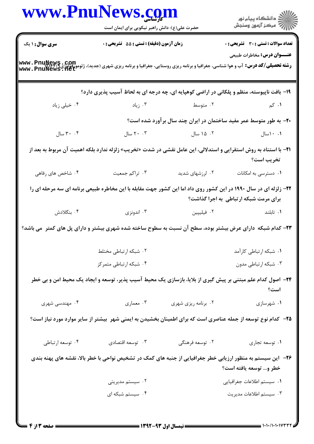|                                                                                           | <b>www.PnuNews.co</b><br>حضرت علی(ع): دانش راهبر نیکویی برای ایمان است                                                                                               |                             | الاد دانشگاه پيام نور<br>  /> مرکز آزمون وسنجش                     |  |  |  |
|-------------------------------------------------------------------------------------------|----------------------------------------------------------------------------------------------------------------------------------------------------------------------|-----------------------------|--------------------------------------------------------------------|--|--|--|
| <b>سری سوال : ۱ یک</b>                                                                    | زمان آزمون (دقیقه) : تستی : 55 آتشریحی : 0                                                                                                                           |                             | <b>تعداد سوالات : تستی : 30 ٪ تشریحی : 0</b>                       |  |  |  |
|                                                                                           | <b>رشته تحصیلی/کد درس:</b> آب و هوا شناسی، جغرافیا و برنامه ریزی روستایی، جغرافیا و برنامه ریزی شهری (جدید)، ژئومورفولوژی www . PnuNews . net<br>www . PnuNews . net |                             | <b>عنـــوان درس:</b> مخاطرات طبیعی                                 |  |  |  |
| ۱۹- بافت ناپیوسته، منظم و پلکانی در اراضی کوهپایه ای، چه درجه ای به لحاظ آسیب پذیری دارد؟ |                                                                                                                                                                      |                             |                                                                    |  |  |  |
| ۰۴ خیلی زیاد                                                                              |                                                                                                                                                                      | ۰۲ متوسط میتوسط به این است. | ۰۱ کم                                                              |  |  |  |
|                                                                                           |                                                                                                                                                                      |                             | +۲- به طور متوسط عمر مفید ساختمان در ایران چند سال برآورد شده است؟ |  |  |  |
| ۳۰ $\cdot$ ۳۰ سال                                                                         | ۲۰ ۲۰ سال                                                                                                                                                            | ۰۲ ۱۵ سال                   | ۰.۱ سال                                                            |  |  |  |
|                                                                                           | <b>۳۱</b> − با استناد به روش استقرایی و استدلالی، این عامل نقشی در شدت «تخریب» زلزله ندارد بلکه اهمیت آن مربوط به بعد از                                             |                             | تخريب است؟                                                         |  |  |  |
| ۰۴ شاخص های رفاهی                                                                         | ۰۳ تراکم جمعیت                                                                                                                                                       | ۰۲ لرزشهای شدید             | ۰۱ دسترسی به امکانات                                               |  |  |  |
|                                                                                           | ۲۲- زلزله ای در سال ۱۹۹۰ در این کشور روی داد اما این کشور جهت مقابله با این مخاطره طبیعی برنامه ای سه مرحله ای را                                                    |                             | برای مرمت شبکه ارتباطی به اجرا گذاشت؟                              |  |  |  |
| ۰۴ بنگلادش                                                                                | ۰۳ اندونزی                                                                                                                                                           | ۰۲ فیلیپین                  | ۰۱ تابلند                                                          |  |  |  |
|                                                                                           | ۲۳– کدام شبکه دارای عرض بیشتر بوده، سطح آن نسبت به سطوح ساخته شده شهری بیشتر و دارای پل های کمتر ًمی باشد؟                                                           |                             |                                                                    |  |  |  |
|                                                                                           | ۰۲ شبکه ارتباطی مختلط                                                                                                                                                |                             | ٠١ شبكه ارتباطي كارآمد                                             |  |  |  |
|                                                                                           | ۰۴ شبکه ارتباطی متمرکز                                                                                                                                               |                             | ۰۳ شبکه ارتباطی مدون                                               |  |  |  |
|                                                                                           | ۲۴- اصول کدام علم مبتنی بر پیش گیری از بلایا، بازسازی یک محیط آسیب پذیر، توسعه و ایجاد یک محیط امن و بی خطر                                                          |                             | است؟                                                               |  |  |  |
| ۰۴ مهندسی شهری                                                                            | ۰۳ معماري                                                                                                                                                            | ۰۲ برنامه ریزی شهری         | ۰۱ شهرسازی                                                         |  |  |  |
|                                                                                           | ۲۵– کدام نوع توسعه از جمله عناصری است که برای اطمینان بخشیدن به ایمنی شهر ۖ بیشتر از سایر موارد مورد نیاز است؟                                                       |                             |                                                                    |  |  |  |
| ۰۴ توسعه ارتباطي                                                                          | ۰۳ توسعه اقتصادي                                                                                                                                                     | ۰۲ توسعه فرهنگی             | ٠١ توسعه تجاري                                                     |  |  |  |
|                                                                                           | ۲۶– این سیستم به منظور ارزیابی خطر جغرافیایی از جنبه های کمک در تشخیص نواحی با خطر بالا، نقشه های پهنه بندی                                                          |                             | خطر و… توسعه يافته است؟                                            |  |  |  |
|                                                                                           | ۰۲ سیستم مدیریتی                                                                                                                                                     |                             | ٠١ سيستم اطلاعات جغرافيايي                                         |  |  |  |
|                                                                                           | ۰۴ سیستم شبکه ای                                                                                                                                                     |                             | ۰۳ سیستم اطلاعات مدیریت                                            |  |  |  |
|                                                                                           | - 1999 - 1999 - 1999 - 1999 -                                                                                                                                        |                             |                                                                    |  |  |  |